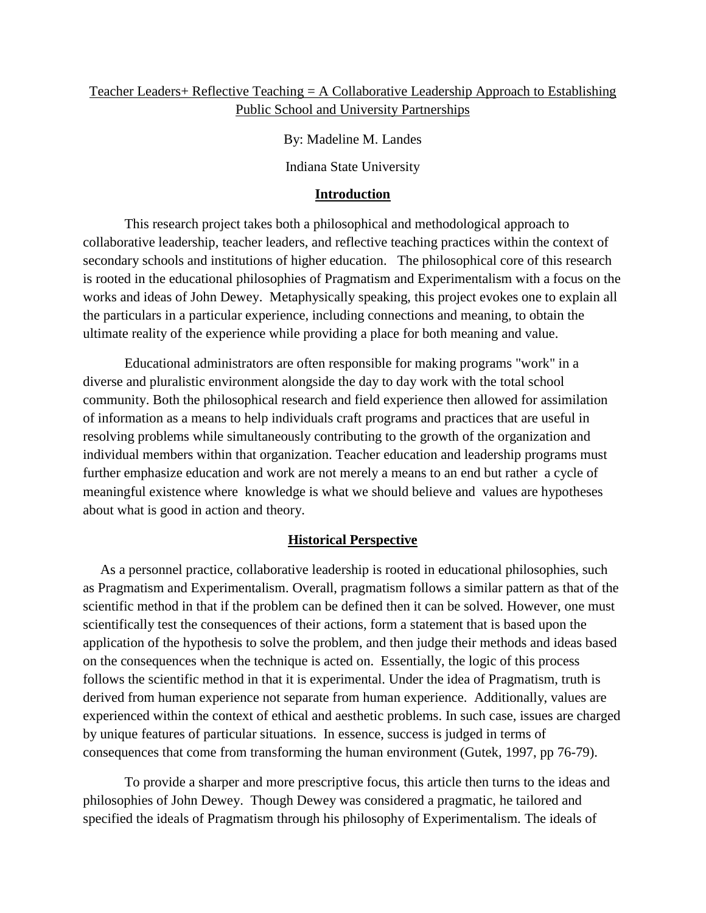## Teacher Leaders+ Reflective Teaching = A Collaborative Leadership Approach to Establishing Public School and University Partnerships

By: Madeline M. Landes

Indiana State University

## **Introduction**

This research project takes both a philosophical and methodological approach to collaborative leadership, teacher leaders, and reflective teaching practices within the context of secondary schools and institutions of higher education. The philosophical core of this research is rooted in the educational philosophies of Pragmatism and Experimentalism with a focus on the works and ideas of John Dewey. Metaphysically speaking, this project evokes one to explain all the particulars in a particular experience, including connections and meaning, to obtain the ultimate reality of the experience while providing a place for both meaning and value.

Educational administrators are often responsible for making programs "work" in a diverse and pluralistic environment alongside the day to day work with the total school community. Both the philosophical research and field experience then allowed for assimilation of information as a means to help individuals craft programs and practices that are useful in resolving problems while simultaneously contributing to the growth of the organization and individual members within that organization. Teacher education and leadership programs must further emphasize education and work are not merely a means to an end but rather a cycle of meaningful existence where knowledge is what we should believe and values are hypotheses about what is good in action and theory.

## **Historical Perspective**

 As a personnel practice, collaborative leadership is rooted in educational philosophies, such as Pragmatism and Experimentalism. Overall, pragmatism follows a similar pattern as that of the scientific method in that if the problem can be defined then it can be solved. However, one must scientifically test the consequences of their actions, form a statement that is based upon the application of the hypothesis to solve the problem, and then judge their methods and ideas based on the consequences when the technique is acted on. Essentially, the logic of this process follows the scientific method in that it is experimental. Under the idea of Pragmatism, truth is derived from human experience not separate from human experience. Additionally, values are experienced within the context of ethical and aesthetic problems. In such case, issues are charged by unique features of particular situations. In essence, success is judged in terms of consequences that come from transforming the human environment (Gutek, 1997, pp 76-79).

To provide a sharper and more prescriptive focus, this article then turns to the ideas and philosophies of John Dewey. Though Dewey was considered a pragmatic, he tailored and specified the ideals of Pragmatism through his philosophy of Experimentalism. The ideals of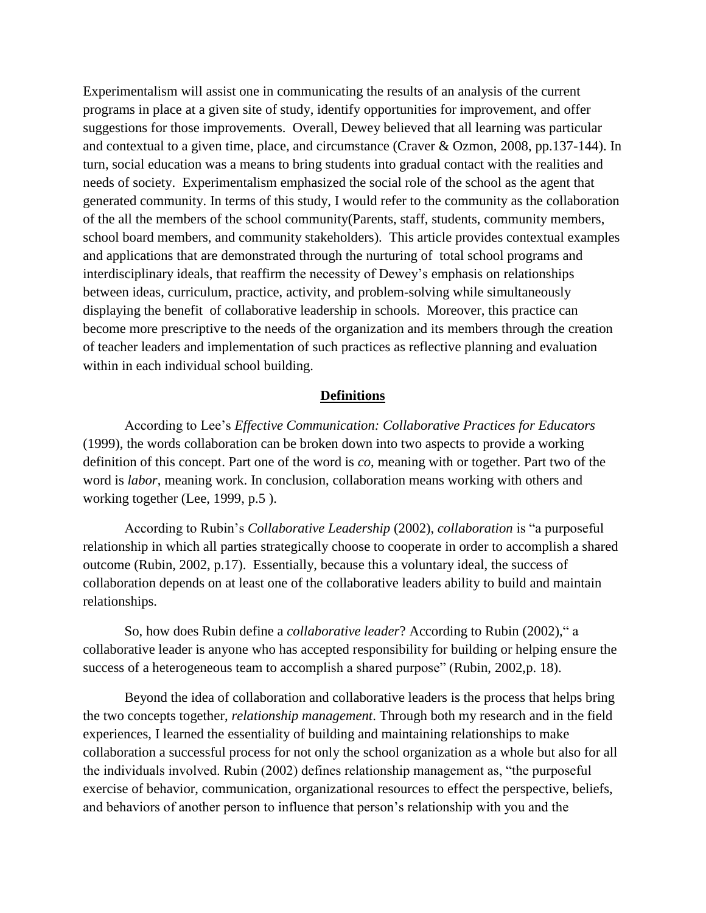Experimentalism will assist one in communicating the results of an analysis of the current programs in place at a given site of study, identify opportunities for improvement, and offer suggestions for those improvements. Overall, Dewey believed that all learning was particular and contextual to a given time, place, and circumstance (Craver & Ozmon, 2008, pp.137-144). In turn, social education was a means to bring students into gradual contact with the realities and needs of society. Experimentalism emphasized the social role of the school as the agent that generated community. In terms of this study, I would refer to the community as the collaboration of the all the members of the school community(Parents, staff, students, community members, school board members, and community stakeholders). This article provides contextual examples and applications that are demonstrated through the nurturing of total school programs and interdisciplinary ideals, that reaffirm the necessity of Dewey's emphasis on relationships between ideas, curriculum, practice, activity, and problem-solving while simultaneously displaying the benefit of collaborative leadership in schools. Moreover, this practice can become more prescriptive to the needs of the organization and its members through the creation of teacher leaders and implementation of such practices as reflective planning and evaluation within in each individual school building.

### **Definitions**

According to Lee's *Effective Communication: Collaborative Practices for Educators* (1999), the words collaboration can be broken down into two aspects to provide a working definition of this concept. Part one of the word is *co*, meaning with or together. Part two of the word is *labor*, meaning work. In conclusion, collaboration means working with others and working together (Lee, 1999, p.5 ).

According to Rubin's *Collaborative Leadership* (2002), *collaboration* is "a purposeful relationship in which all parties strategically choose to cooperate in order to accomplish a shared outcome (Rubin, 2002, p.17). Essentially, because this a voluntary ideal, the success of collaboration depends on at least one of the collaborative leaders ability to build and maintain relationships.

So, how does Rubin define a *collaborative leader*? According to Rubin (2002)," a collaborative leader is anyone who has accepted responsibility for building or helping ensure the success of a heterogeneous team to accomplish a shared purpose" (Rubin, 2002,p. 18).

Beyond the idea of collaboration and collaborative leaders is the process that helps bring the two concepts together, *relationship management*. Through both my research and in the field experiences, I learned the essentiality of building and maintaining relationships to make collaboration a successful process for not only the school organization as a whole but also for all the individuals involved. Rubin (2002) defines relationship management as, "the purposeful exercise of behavior, communication, organizational resources to effect the perspective, beliefs, and behaviors of another person to influence that person's relationship with you and the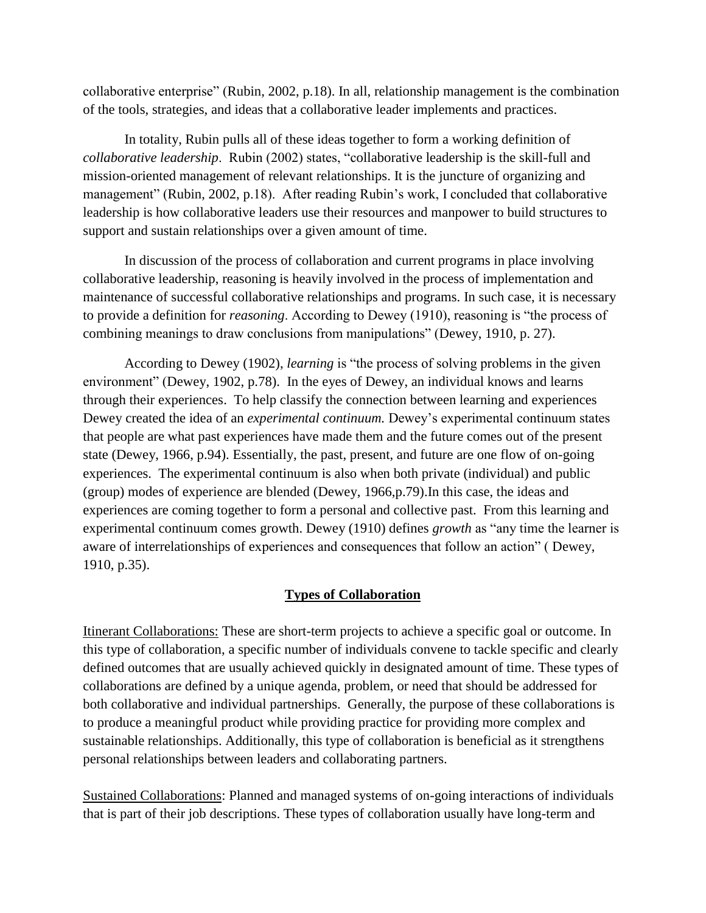collaborative enterprise" (Rubin, 2002, p.18). In all, relationship management is the combination of the tools, strategies, and ideas that a collaborative leader implements and practices.

In totality, Rubin pulls all of these ideas together to form a working definition of *collaborative leadership*. Rubin (2002) states, "collaborative leadership is the skill-full and mission-oriented management of relevant relationships. It is the juncture of organizing and management" (Rubin, 2002, p.18). After reading Rubin's work, I concluded that collaborative leadership is how collaborative leaders use their resources and manpower to build structures to support and sustain relationships over a given amount of time.

In discussion of the process of collaboration and current programs in place involving collaborative leadership, reasoning is heavily involved in the process of implementation and maintenance of successful collaborative relationships and programs. In such case, it is necessary to provide a definition for *reasoning*. According to Dewey (1910), reasoning is "the process of combining meanings to draw conclusions from manipulations" (Dewey, 1910, p. 27).

According to Dewey (1902), *learning* is "the process of solving problems in the given environment" (Dewey, 1902, p.78). In the eyes of Dewey, an individual knows and learns through their experiences. To help classify the connection between learning and experiences Dewey created the idea of an *experimental continuum.* Dewey's experimental continuum states that people are what past experiences have made them and the future comes out of the present state (Dewey, 1966, p.94). Essentially, the past, present, and future are one flow of on-going experiences. The experimental continuum is also when both private (individual) and public (group) modes of experience are blended (Dewey, 1966,p.79).In this case, the ideas and experiences are coming together to form a personal and collective past. From this learning and experimental continuum comes growth. Dewey (1910) defines *growth* as "any time the learner is aware of interrelationships of experiences and consequences that follow an action" ( Dewey, 1910, p.35).

## **Types of Collaboration**

Itinerant Collaborations: These are short-term projects to achieve a specific goal or outcome. In this type of collaboration, a specific number of individuals convene to tackle specific and clearly defined outcomes that are usually achieved quickly in designated amount of time. These types of collaborations are defined by a unique agenda, problem, or need that should be addressed for both collaborative and individual partnerships. Generally, the purpose of these collaborations is to produce a meaningful product while providing practice for providing more complex and sustainable relationships. Additionally, this type of collaboration is beneficial as it strengthens personal relationships between leaders and collaborating partners.

Sustained Collaborations: Planned and managed systems of on-going interactions of individuals that is part of their job descriptions. These types of collaboration usually have long-term and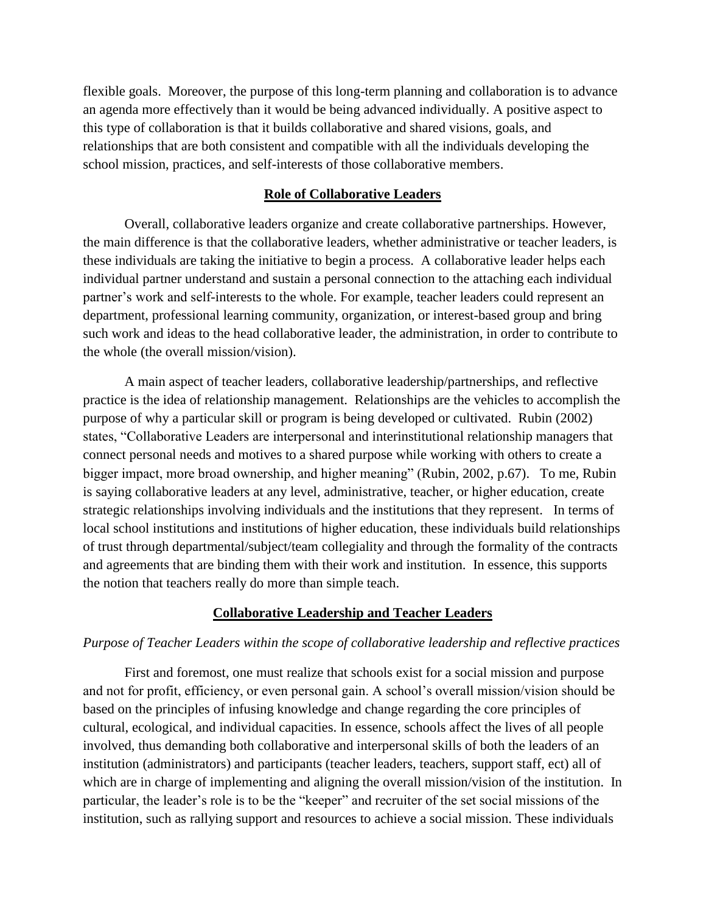flexible goals. Moreover, the purpose of this long-term planning and collaboration is to advance an agenda more effectively than it would be being advanced individually. A positive aspect to this type of collaboration is that it builds collaborative and shared visions, goals, and relationships that are both consistent and compatible with all the individuals developing the school mission, practices, and self-interests of those collaborative members.

### **Role of Collaborative Leaders**

Overall, collaborative leaders organize and create collaborative partnerships. However, the main difference is that the collaborative leaders, whether administrative or teacher leaders, is these individuals are taking the initiative to begin a process. A collaborative leader helps each individual partner understand and sustain a personal connection to the attaching each individual partner's work and self-interests to the whole. For example, teacher leaders could represent an department, professional learning community, organization, or interest-based group and bring such work and ideas to the head collaborative leader, the administration, in order to contribute to the whole (the overall mission/vision).

A main aspect of teacher leaders, collaborative leadership/partnerships, and reflective practice is the idea of relationship management. Relationships are the vehicles to accomplish the purpose of why a particular skill or program is being developed or cultivated. Rubin (2002) states, "Collaborative Leaders are interpersonal and interinstitutional relationship managers that connect personal needs and motives to a shared purpose while working with others to create a bigger impact, more broad ownership, and higher meaning" (Rubin, 2002, p.67). To me, Rubin is saying collaborative leaders at any level, administrative, teacher, or higher education, create strategic relationships involving individuals and the institutions that they represent. In terms of local school institutions and institutions of higher education, these individuals build relationships of trust through departmental/subject/team collegiality and through the formality of the contracts and agreements that are binding them with their work and institution. In essence, this supports the notion that teachers really do more than simple teach.

### **Collaborative Leadership and Teacher Leaders**

### *Purpose of Teacher Leaders within the scope of collaborative leadership and reflective practices*

First and foremost, one must realize that schools exist for a social mission and purpose and not for profit, efficiency, or even personal gain. A school's overall mission/vision should be based on the principles of infusing knowledge and change regarding the core principles of cultural, ecological, and individual capacities. In essence, schools affect the lives of all people involved, thus demanding both collaborative and interpersonal skills of both the leaders of an institution (administrators) and participants (teacher leaders, teachers, support staff, ect) all of which are in charge of implementing and aligning the overall mission/vision of the institution. In particular, the leader's role is to be the "keeper" and recruiter of the set social missions of the institution, such as rallying support and resources to achieve a social mission. These individuals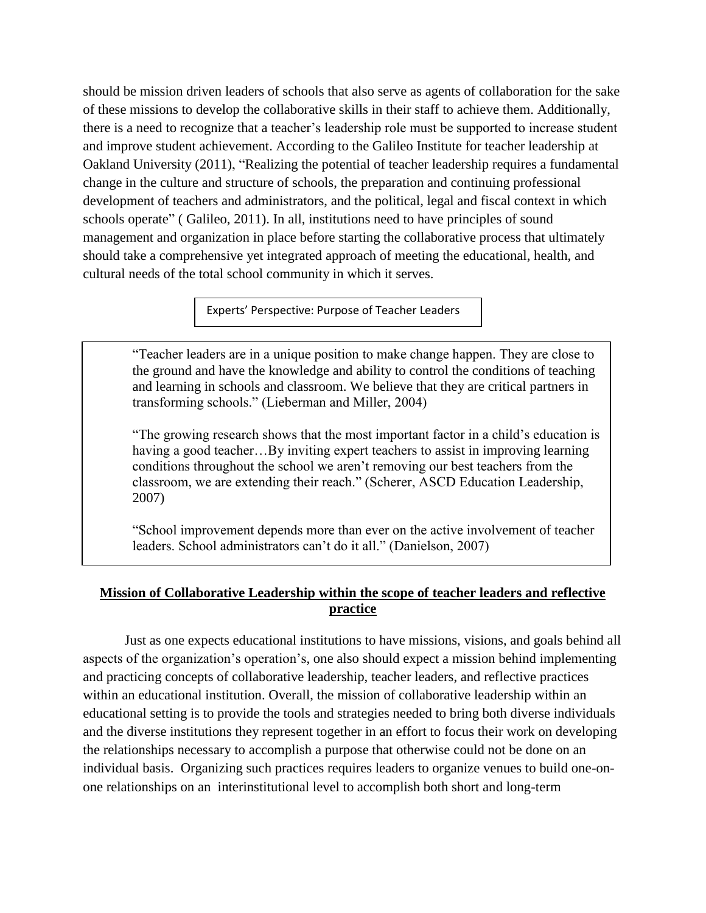should be mission driven leaders of schools that also serve as agents of collaboration for the sake of these missions to develop the collaborative skills in their staff to achieve them. Additionally, there is a need to recognize that a teacher's leadership role must be supported to increase student and improve student achievement. According to the Galileo Institute for teacher leadership at Oakland University (2011), "Realizing the potential of teacher leadership requires a fundamental change in the culture and structure of schools, the preparation and continuing professional development of teachers and administrators, and the political, legal and fiscal context in which schools operate" ( Galileo, 2011). In all, institutions need to have principles of sound management and organization in place before starting the collaborative process that ultimately should take a comprehensive yet integrated approach of meeting the educational, health, and cultural needs of the total school community in which it serves.

Experts' Perspective: Purpose of Teacher Leaders

"Teacher leaders are in a unique position to make change happen. They are close to the ground and have the knowledge and ability to control the conditions of teaching and learning in schools and classroom. We believe that they are critical partners in transforming schools." (Lieberman and Miller, 2004)

"The growing research shows that the most important factor in a child's education is having a good teacher...By inviting expert teachers to assist in improving learning conditions throughout the school we aren't removing our best teachers from the classroom, we are extending their reach." (Scherer, ASCD Education Leadership, 2007)

"School improvement depends more than ever on the active involvement of teacher leaders. School administrators can't do it all." (Danielson, 2007)

## **Mission of Collaborative Leadership within the scope of teacher leaders and reflective practice**

Just as one expects educational institutions to have missions, visions, and goals behind all aspects of the organization's operation's, one also should expect a mission behind implementing and practicing concepts of collaborative leadership, teacher leaders, and reflective practices within an educational institution. Overall, the mission of collaborative leadership within an educational setting is to provide the tools and strategies needed to bring both diverse individuals and the diverse institutions they represent together in an effort to focus their work on developing the relationships necessary to accomplish a purpose that otherwise could not be done on an individual basis. Organizing such practices requires leaders to organize venues to build one-onone relationships on an interinstitutional level to accomplish both short and long-term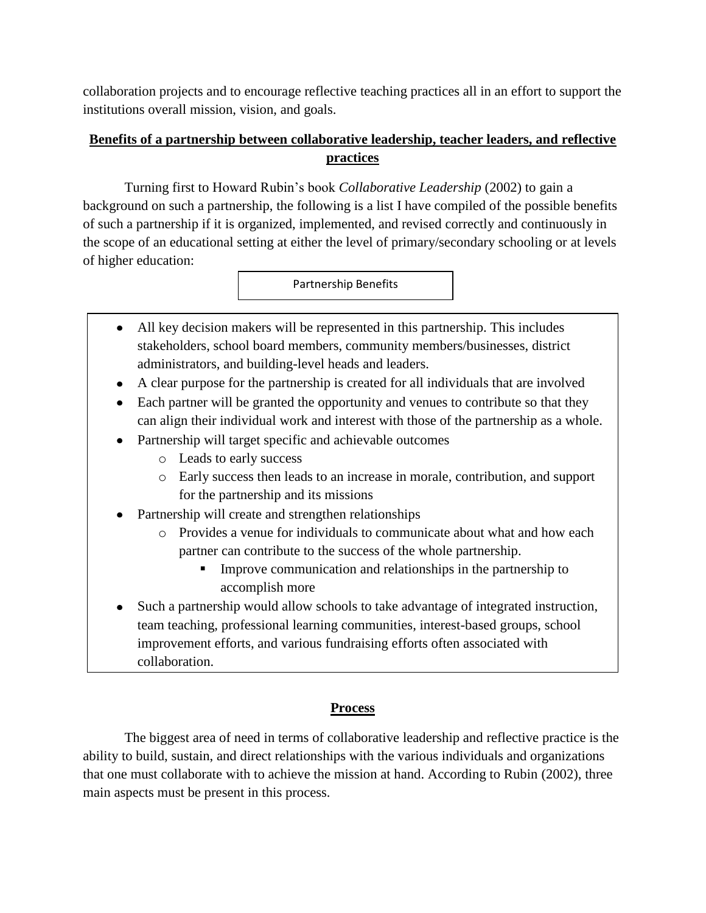collaboration projects and to encourage reflective teaching practices all in an effort to support the institutions overall mission, vision, and goals.

# **Benefits of a partnership between collaborative leadership, teacher leaders, and reflective practices**

Turning first to Howard Rubin's book *Collaborative Leadership* (2002) to gain a background on such a partnership, the following is a list I have compiled of the possible benefits of such a partnership if it is organized, implemented, and revised correctly and continuously in the scope of an educational setting at either the level of primary/secondary schooling or at levels of higher education:

Partnership Benefits

- All key decision makers will be represented in this partnership. This includes  $\bullet$ stakeholders, school board members, community members/businesses, district administrators, and building-level heads and leaders.
- A clear purpose for the partnership is created for all individuals that are involved
- Each partner will be granted the opportunity and venues to contribute so that they can align their individual work and interest with those of the partnership as a whole.
- Partnership will target specific and achievable outcomes
	- o Leads to early success
	- o Early success then leads to an increase in morale, contribution, and support for the partnership and its missions
- Partnership will create and strengthen relationships
	- o Provides a venue for individuals to communicate about what and how each partner can contribute to the success of the whole partnership.
		- **IMPROVE COMMUNICATE:** Improve communication and relationships in the partnership to accomplish more
- Such a partnership would allow schools to take advantage of integrated instruction,  $\bullet$ team teaching, professional learning communities, interest-based groups, school improvement efforts, and various fundraising efforts often associated with collaboration.

# **Process**

The biggest area of need in terms of collaborative leadership and reflective practice is the ability to build, sustain, and direct relationships with the various individuals and organizations that one must collaborate with to achieve the mission at hand. According to Rubin (2002), three main aspects must be present in this process.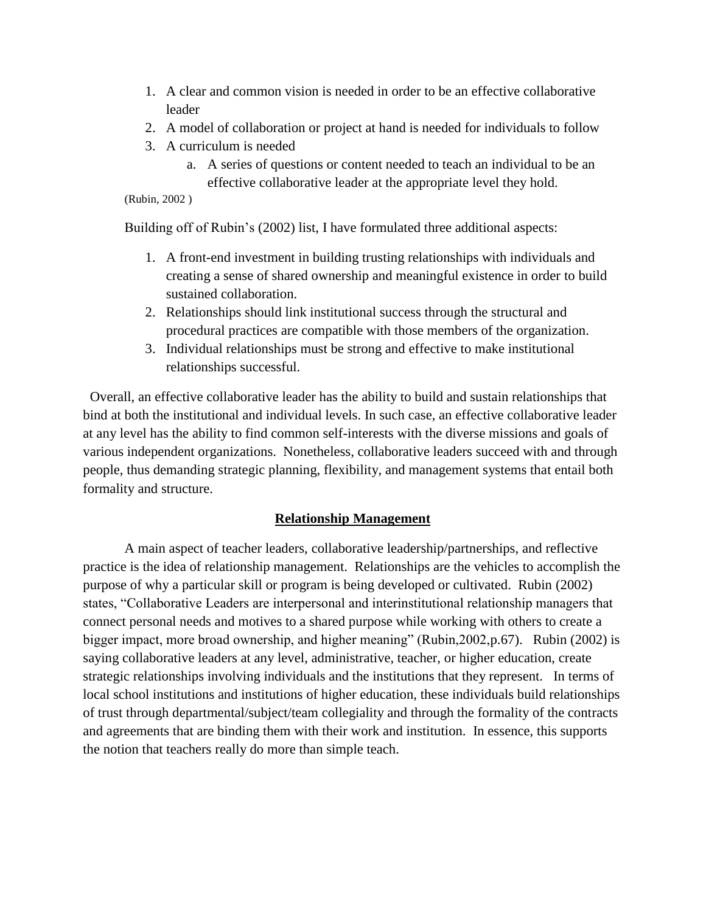- 1. A clear and common vision is needed in order to be an effective collaborative leader
- 2. A model of collaboration or project at hand is needed for individuals to follow
- 3. A curriculum is needed
	- a. A series of questions or content needed to teach an individual to be an effective collaborative leader at the appropriate level they hold.

```
(Rubin, 2002 )
```
Building off of Rubin's (2002) list, I have formulated three additional aspects:

- 1. A front-end investment in building trusting relationships with individuals and creating a sense of shared ownership and meaningful existence in order to build sustained collaboration.
- 2. Relationships should link institutional success through the structural and procedural practices are compatible with those members of the organization.
- 3. Individual relationships must be strong and effective to make institutional relationships successful.

 Overall, an effective collaborative leader has the ability to build and sustain relationships that bind at both the institutional and individual levels. In such case, an effective collaborative leader at any level has the ability to find common self-interests with the diverse missions and goals of various independent organizations. Nonetheless, collaborative leaders succeed with and through people, thus demanding strategic planning, flexibility, and management systems that entail both formality and structure.

# **Relationship Management**

A main aspect of teacher leaders, collaborative leadership/partnerships, and reflective practice is the idea of relationship management. Relationships are the vehicles to accomplish the purpose of why a particular skill or program is being developed or cultivated. Rubin (2002) states, "Collaborative Leaders are interpersonal and interinstitutional relationship managers that connect personal needs and motives to a shared purpose while working with others to create a bigger impact, more broad ownership, and higher meaning" (Rubin,2002,p.67). Rubin (2002) is saying collaborative leaders at any level, administrative, teacher, or higher education, create strategic relationships involving individuals and the institutions that they represent. In terms of local school institutions and institutions of higher education, these individuals build relationships of trust through departmental/subject/team collegiality and through the formality of the contracts and agreements that are binding them with their work and institution. In essence, this supports the notion that teachers really do more than simple teach.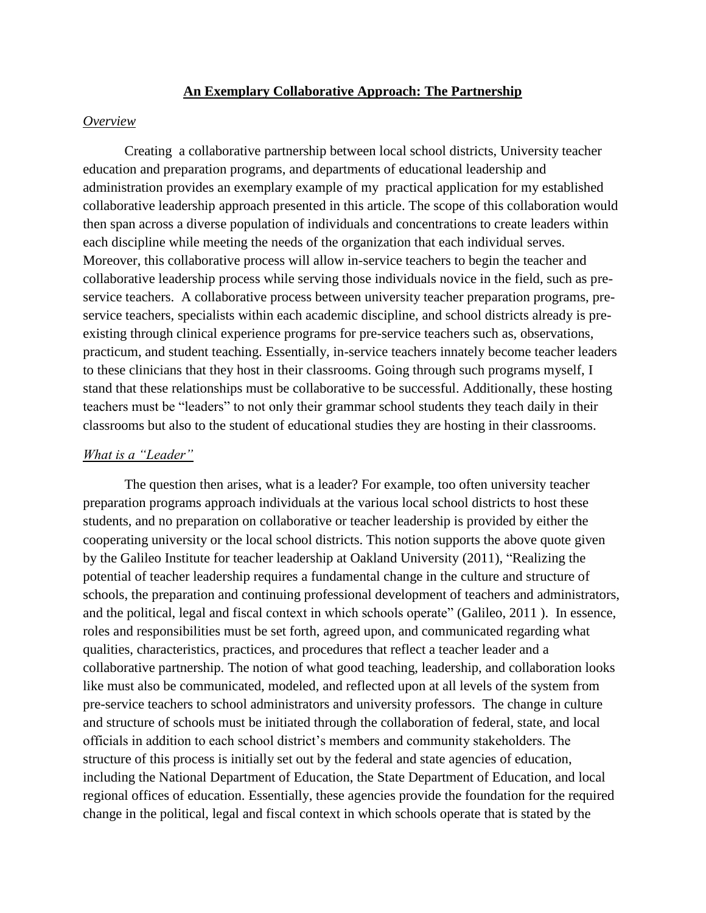### **An Exemplary Collaborative Approach: The Partnership**

#### *Overview*

Creating a collaborative partnership between local school districts, University teacher education and preparation programs, and departments of educational leadership and administration provides an exemplary example of my practical application for my established collaborative leadership approach presented in this article. The scope of this collaboration would then span across a diverse population of individuals and concentrations to create leaders within each discipline while meeting the needs of the organization that each individual serves. Moreover, this collaborative process will allow in-service teachers to begin the teacher and collaborative leadership process while serving those individuals novice in the field, such as preservice teachers. A collaborative process between university teacher preparation programs, preservice teachers, specialists within each academic discipline, and school districts already is preexisting through clinical experience programs for pre-service teachers such as, observations, practicum, and student teaching. Essentially, in-service teachers innately become teacher leaders to these clinicians that they host in their classrooms. Going through such programs myself, I stand that these relationships must be collaborative to be successful. Additionally, these hosting teachers must be "leaders" to not only their grammar school students they teach daily in their classrooms but also to the student of educational studies they are hosting in their classrooms.

### *What is a "Leader"*

The question then arises, what is a leader? For example, too often university teacher preparation programs approach individuals at the various local school districts to host these students, and no preparation on collaborative or teacher leadership is provided by either the cooperating university or the local school districts. This notion supports the above quote given by the Galileo Institute for teacher leadership at Oakland University (2011), "Realizing the potential of teacher leadership requires a fundamental change in the culture and structure of schools, the preparation and continuing professional development of teachers and administrators, and the political, legal and fiscal context in which schools operate" (Galileo, 2011 ). In essence, roles and responsibilities must be set forth, agreed upon, and communicated regarding what qualities, characteristics, practices, and procedures that reflect a teacher leader and a collaborative partnership. The notion of what good teaching, leadership, and collaboration looks like must also be communicated, modeled, and reflected upon at all levels of the system from pre-service teachers to school administrators and university professors. The change in culture and structure of schools must be initiated through the collaboration of federal, state, and local officials in addition to each school district's members and community stakeholders. The structure of this process is initially set out by the federal and state agencies of education, including the National Department of Education, the State Department of Education, and local regional offices of education. Essentially, these agencies provide the foundation for the required change in the political, legal and fiscal context in which schools operate that is stated by the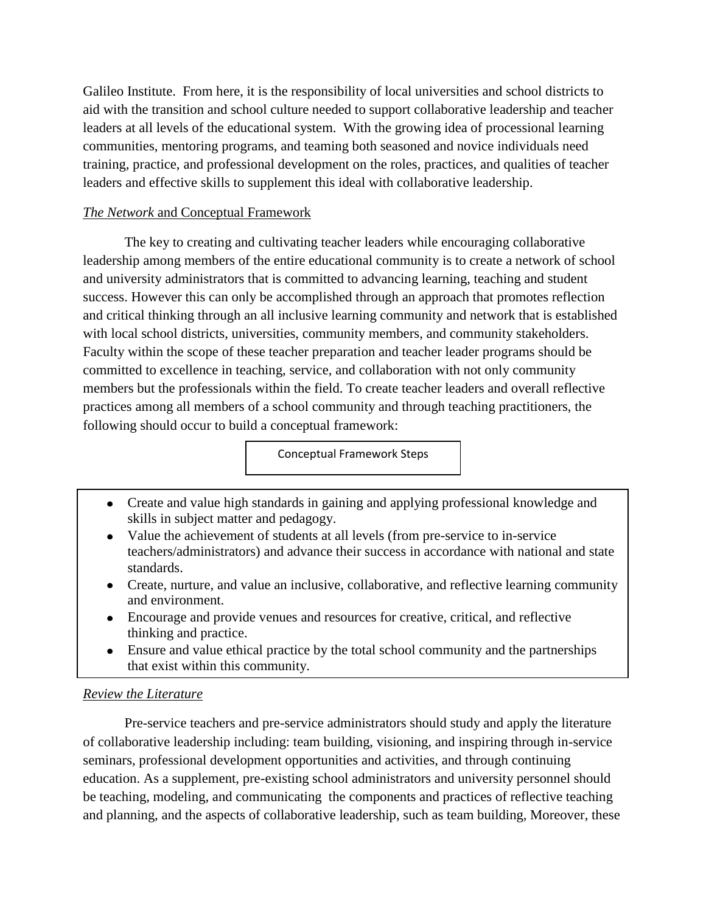Galileo Institute. From here, it is the responsibility of local universities and school districts to aid with the transition and school culture needed to support collaborative leadership and teacher leaders at all levels of the educational system. With the growing idea of processional learning communities, mentoring programs, and teaming both seasoned and novice individuals need training, practice, and professional development on the roles, practices, and qualities of teacher leaders and effective skills to supplement this ideal with collaborative leadership.

# *The Network* and Conceptual Framework

The key to creating and cultivating teacher leaders while encouraging collaborative leadership among members of the entire educational community is to create a network of school and university administrators that is committed to advancing learning, teaching and student success. However this can only be accomplished through an approach that promotes reflection and critical thinking through an all inclusive learning community and network that is established with local school districts, universities, community members, and community stakeholders. Faculty within the scope of these teacher preparation and teacher leader programs should be committed to excellence in teaching, service, and collaboration with not only community members but the professionals within the field. To create teacher leaders and overall reflective practices among all members of a school community and through teaching practitioners, the following should occur to build a conceptual framework:

Conceptual Framework Steps

- Create and value high standards in gaining and applying professional knowledge and skills in subject matter and pedagogy.
- Value the achievement of students at all levels (from pre-service to in-service teachers/administrators) and advance their success in accordance with national and state standards.
- Create, nurture, and value an inclusive, collaborative, and reflective learning community and environment.
- Encourage and provide venues and resources for creative, critical, and reflective thinking and practice.
- Ensure and value ethical practice by the total school community and the partnerships that exist within this community.

## *Review the Literature*

Pre-service teachers and pre-service administrators should study and apply the literature of collaborative leadership including: team building, visioning, and inspiring through in-service seminars, professional development opportunities and activities, and through continuing education. As a supplement, pre-existing school administrators and university personnel should be teaching, modeling, and communicating the components and practices of reflective teaching and planning, and the aspects of collaborative leadership, such as team building, Moreover, these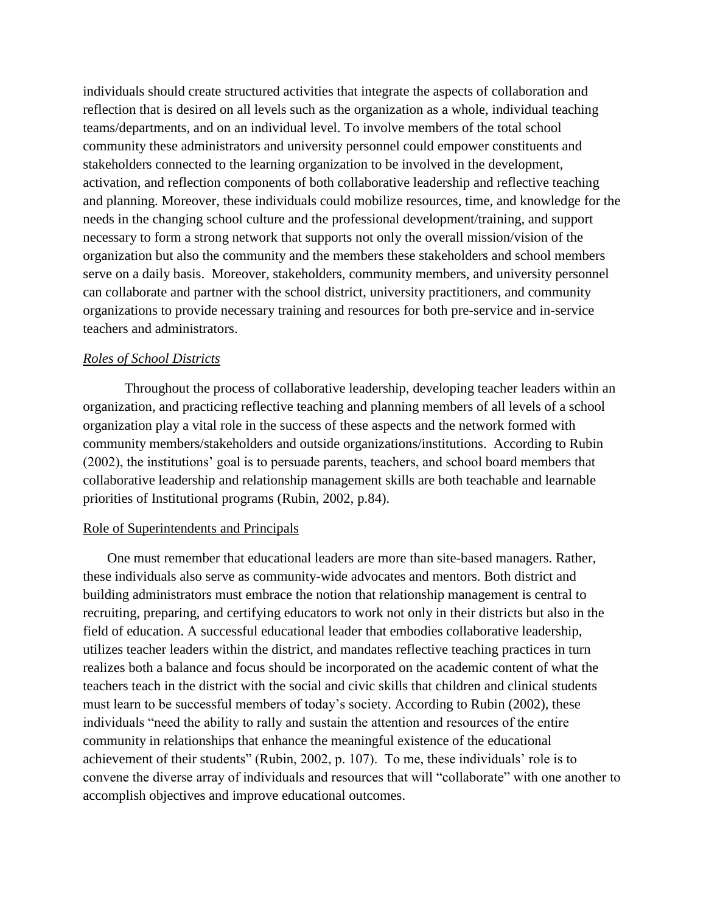individuals should create structured activities that integrate the aspects of collaboration and reflection that is desired on all levels such as the organization as a whole, individual teaching teams/departments, and on an individual level. To involve members of the total school community these administrators and university personnel could empower constituents and stakeholders connected to the learning organization to be involved in the development, activation, and reflection components of both collaborative leadership and reflective teaching and planning. Moreover, these individuals could mobilize resources, time, and knowledge for the needs in the changing school culture and the professional development/training, and support necessary to form a strong network that supports not only the overall mission/vision of the organization but also the community and the members these stakeholders and school members serve on a daily basis. Moreover, stakeholders, community members, and university personnel can collaborate and partner with the school district, university practitioners, and community organizations to provide necessary training and resources for both pre-service and in-service teachers and administrators.

### *Roles of School Districts*

Throughout the process of collaborative leadership, developing teacher leaders within an organization, and practicing reflective teaching and planning members of all levels of a school organization play a vital role in the success of these aspects and the network formed with community members/stakeholders and outside organizations/institutions. According to Rubin (2002), the institutions' goal is to persuade parents, teachers, and school board members that collaborative leadership and relationship management skills are both teachable and learnable priorities of Institutional programs (Rubin, 2002, p.84).

#### Role of Superintendents and Principals

One must remember that educational leaders are more than site-based managers. Rather, these individuals also serve as community-wide advocates and mentors. Both district and building administrators must embrace the notion that relationship management is central to recruiting, preparing, and certifying educators to work not only in their districts but also in the field of education. A successful educational leader that embodies collaborative leadership, utilizes teacher leaders within the district, and mandates reflective teaching practices in turn realizes both a balance and focus should be incorporated on the academic content of what the teachers teach in the district with the social and civic skills that children and clinical students must learn to be successful members of today's society. According to Rubin (2002), these individuals "need the ability to rally and sustain the attention and resources of the entire community in relationships that enhance the meaningful existence of the educational achievement of their students" (Rubin, 2002, p. 107). To me, these individuals' role is to convene the diverse array of individuals and resources that will "collaborate" with one another to accomplish objectives and improve educational outcomes.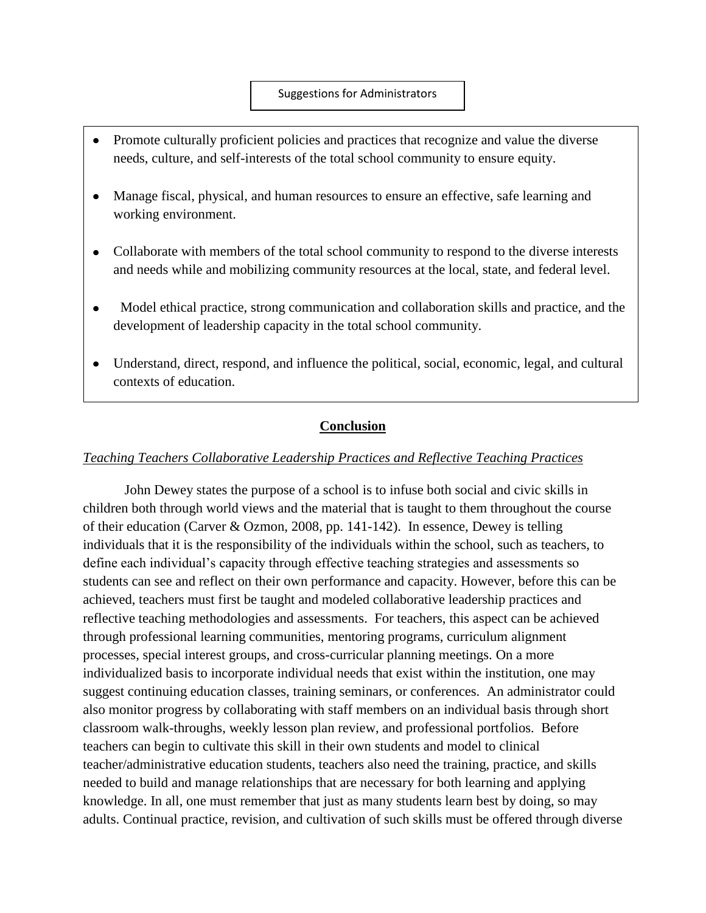#### Suggestions for Administrators

- Promote culturally proficient policies and practices that recognize and value the diverse needs, culture, and self-interests of the total school community to ensure equity.
- Manage fiscal, physical, and human resources to ensure an effective, safe learning and working environment.
- Collaborate with members of the total school community to respond to the diverse interests and needs while and mobilizing community resources at the local, state, and federal level.
- Model ethical practice, strong communication and collaboration skills and practice, and the development of leadership capacity in the total school community.
- Understand, direct, respond, and influence the political, social, economic, legal, and cultural contexts of education.

## **Conclusion**

## *Teaching Teachers Collaborative Leadership Practices and Reflective Teaching Practices*

John Dewey states the purpose of a school is to infuse both social and civic skills in children both through world views and the material that is taught to them throughout the course of their education (Carver & Ozmon, 2008, pp. 141-142). In essence, Dewey is telling individuals that it is the responsibility of the individuals within the school, such as teachers, to define each individual's capacity through effective teaching strategies and assessments so students can see and reflect on their own performance and capacity. However, before this can be achieved, teachers must first be taught and modeled collaborative leadership practices and reflective teaching methodologies and assessments. For teachers, this aspect can be achieved through professional learning communities, mentoring programs, curriculum alignment processes, special interest groups, and cross-curricular planning meetings. On a more individualized basis to incorporate individual needs that exist within the institution, one may suggest continuing education classes, training seminars, or conferences. An administrator could also monitor progress by collaborating with staff members on an individual basis through short classroom walk-throughs, weekly lesson plan review, and professional portfolios. Before teachers can begin to cultivate this skill in their own students and model to clinical teacher/administrative education students, teachers also need the training, practice, and skills needed to build and manage relationships that are necessary for both learning and applying knowledge. In all, one must remember that just as many students learn best by doing, so may adults. Continual practice, revision, and cultivation of such skills must be offered through diverse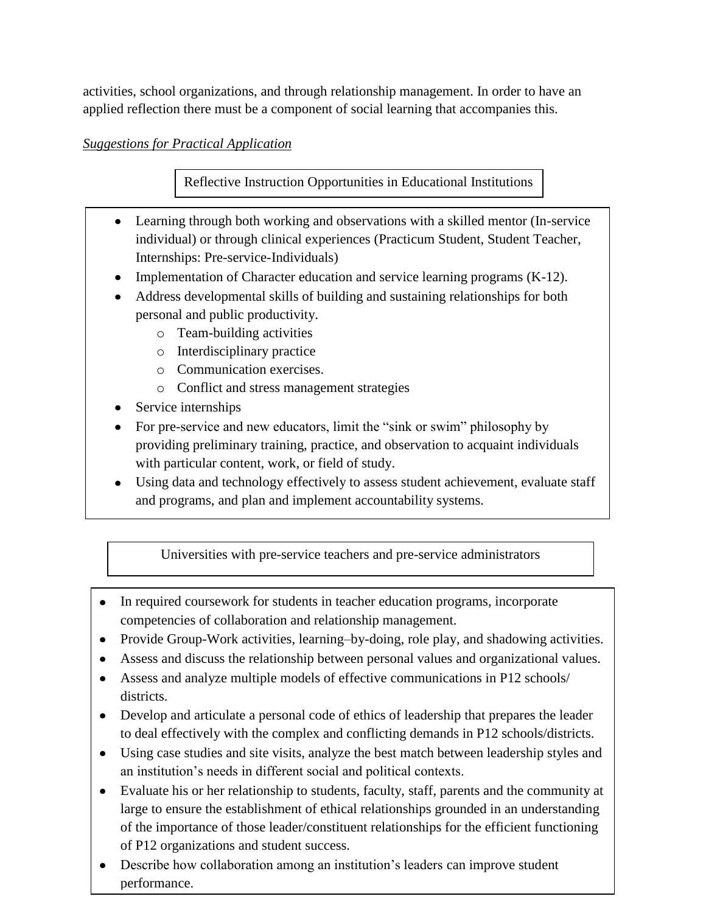activities, school organizations, and through relationship management. In order to have an applied reflection there must be a component of social learning that accompanies this.

## *Suggestions for Practical Application*

Reflective Instruction Opportunities in Educational Institutions

- Learning through both working and observations with a skilled mentor (In-service individual) or through clinical experiences (Practicum Student, Student Teacher, Internships: Pre-service-Individuals)
- Implementation of Character education and service learning programs (K-12).
- Address developmental skills of building and sustaining relationships for both personal and public productivity.
	- o Team-building activities
	- o Interdisciplinary practice
	- o Communication exercises.
	- o Conflict and stress management strategies
- Service internships
- For pre-service and new educators, limit the "sink or swim" philosophy by providing preliminary training, practice, and observation to acquaint individuals with particular content, work, or field of study.
- Using data and technology effectively to assess student achievement, evaluate staff and programs, and plan and implement accountability systems.

Universities with pre-service teachers and pre-service administrators

- In required coursework for students in teacher education programs, incorporate competencies of collaboration and relationship management.
- Provide Group-Work activities, learning–by-doing, role play, and shadowing activities.
- Assess and discuss the relationship between personal values and organizational values.
- Assess and analyze multiple models of effective communications in P12 schools/ districts.
- Develop and articulate a personal code of ethics of leadership that prepares the leader to deal effectively with the complex and conflicting demands in P12 schools/districts.
- Using case studies and site visits, analyze the best match between leadership styles and an institution's needs in different social and political contexts.
- Evaluate his or her relationship to students, faculty, staff, parents and the community at large to ensure the establishment of ethical relationships grounded in an understanding of the importance of those leader/constituent relationships for the efficient functioning of P12 organizations and student success.
- Describe how collaboration among an institution's leaders can improve student performance.